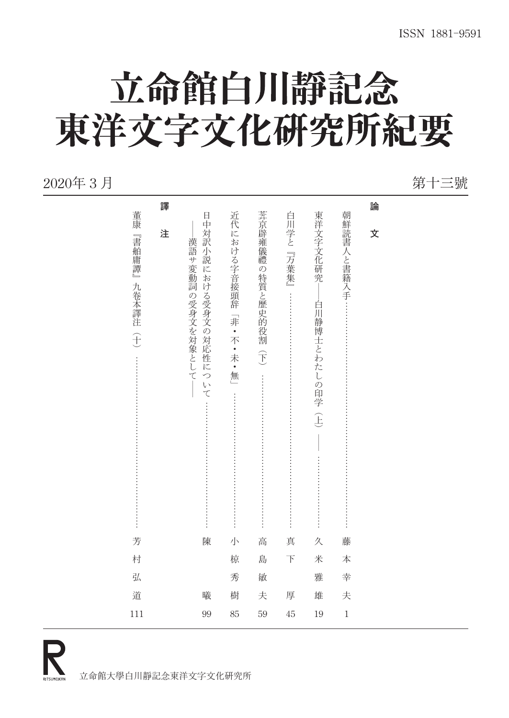# 立命館白川靜記念 東洋文字文化研究所紀要

#### 2020年 3 月 第十三號

|                          | 譯 |                                                                |                                    |                    |           |                                             |              | 論 |  |
|--------------------------|---|----------------------------------------------------------------|------------------------------------|--------------------|-----------|---------------------------------------------|--------------|---|--|
| 董康<br>『書舶庸譚』<br>九卷本譯注(十) | 注 | 日中対訳小説における受身文の対応性に<br>漢語サ変動詞の受身文を対象として<br>$\overline{z}$<br>いて | 近代における字音接頭辞「非・不・未・無」<br>:::::::::: | 葊京辟雍儀禮の特質と歷史的役割(下) | 白川学と『万葉集』 | 東洋文字文化研究<br>白川静博士とわたしの印学<br>$\widehat{\pm}$ | 朝鮮読書人と書籍入手 … | 文 |  |
| 芳                        |   | 陳                                                              | 小                                  | 高                  | 真         | 久                                           | 藤            |   |  |
| 村                        |   |                                                                | 椋                                  | 島                  | $\top$    | 米                                           | 本            |   |  |
| 弘                        |   |                                                                | 秀                                  | 敏                  |           | 雅                                           | 幸            |   |  |
| 道                        |   | 曦                                                              | 樹                                  | 夫                  | 厚         | 雄                                           | 夫            |   |  |
| 111                      |   | 99                                                             | 85                                 | 59                 | 45        | 19                                          | $\,1$        |   |  |
|                          |   |                                                                |                                    |                    |           |                                             |              |   |  |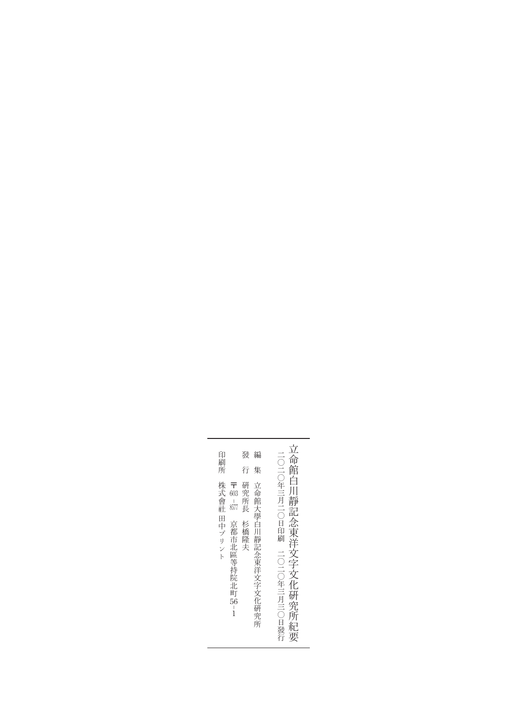| 印<br>刷<br>所                                                                                      | 發<br>編<br>行<br>集                    | 立<br> 命館白                                    |  |
|--------------------------------------------------------------------------------------------------|-------------------------------------|----------------------------------------------|--|
| 株式會社<br>〒<br>603<br>$\frac{1}{8577}$<br>田中プリント<br>京都市北區等持院北町<br>$\overline{56}$<br>$\frac{1}{1}$ | 立命館大學白川靜記念東洋文字文化研究所<br>研究所長<br>杉橋隆夫 | 二〇二〇年三月二〇日印刷<br>靜記念東洋文字文化研究所<br>二○二○年三月三○日發行 |  |
|                                                                                                  |                                     | 《紀要                                          |  |